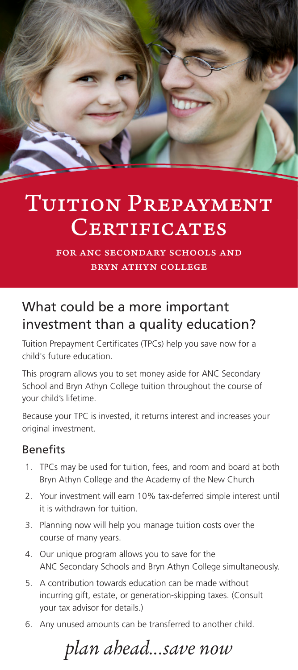

# TUITION PREPAYMENT CERTIFICATES

for anc secondary schools and bryn athyn college

# What could be a more important investment than a quality education?

Tuition Prepayment Certificates (TPCs) help you save now for a child's future education.

This program allows you to set money aside for ANC Secondary School and Bryn Athyn College tuition throughout the course of your child's lifetime.

Because your TPC is invested, it returns interest and increases your original investment.

# Benefits

- 1. TPCs may be used for tuition, fees, and room and board at both Bryn Athyn College and the Academy of the New Church
- 2. Your investment will earn 10% tax-deferred simple interest until it is withdrawn for tuition.
- 3. Planning now will help you manage tuition costs over the course of many years.
- 4. Our unique program allows you to save for the ANC Secondary Schools and Bryn Athyn College simultaneously.
- 5. A contribution towards education can be made without incurring gift, estate, or generation-skipping taxes. (Consult your tax advisor for details.)
- 6. Any unused amounts can be transferred to another child.

*plan ahead...save now*